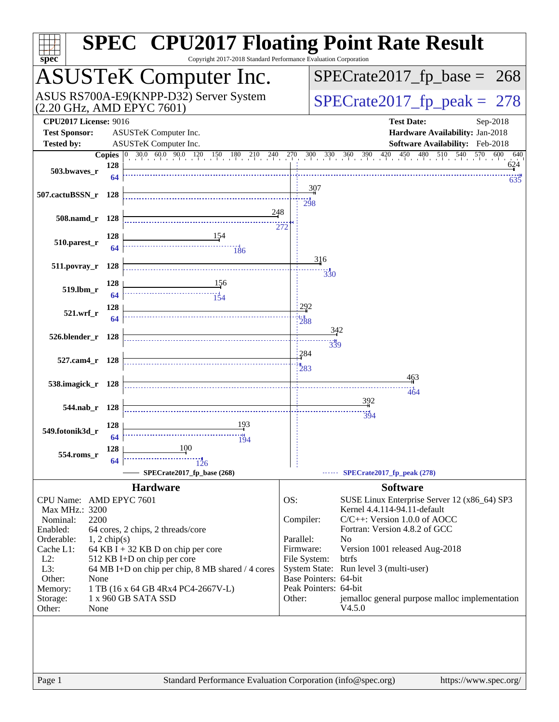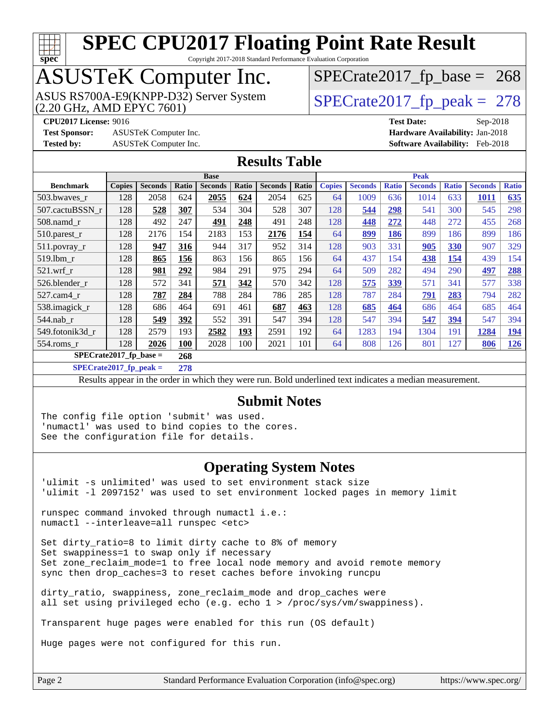

Copyright 2017-2018 Standard Performance Evaluation Corporation

# ASUSTeK Computer Inc.

(2.20 GHz, AMD EPYC 7601) ASUS RS700A-E9(KNPP-D32) Server System  $\sqrt{\text{SPECrate2017\_fp\_peak}} = 278$ 

 $SPECTate2017_fp\_base = 268$ 

**[Test Sponsor:](http://www.spec.org/auto/cpu2017/Docs/result-fields.html#TestSponsor)** ASUSTeK Computer Inc. **[Hardware Availability:](http://www.spec.org/auto/cpu2017/Docs/result-fields.html#HardwareAvailability)** Jan-2018 **[Tested by:](http://www.spec.org/auto/cpu2017/Docs/result-fields.html#Testedby)** ASUSTeK Computer Inc. **[Software Availability:](http://www.spec.org/auto/cpu2017/Docs/result-fields.html#SoftwareAvailability)** Feb-2018

**[CPU2017 License:](http://www.spec.org/auto/cpu2017/Docs/result-fields.html#CPU2017License)** 9016 **[Test Date:](http://www.spec.org/auto/cpu2017/Docs/result-fields.html#TestDate)** Sep-2018

#### **[Results Table](http://www.spec.org/auto/cpu2017/Docs/result-fields.html#ResultsTable)**

|                           | <b>Base</b>   |                |            |                | <b>Peak</b> |                |       |               |                |              |                |              |                |              |
|---------------------------|---------------|----------------|------------|----------------|-------------|----------------|-------|---------------|----------------|--------------|----------------|--------------|----------------|--------------|
| <b>Benchmark</b>          | <b>Copies</b> | <b>Seconds</b> | Ratio      | <b>Seconds</b> | Ratio       | <b>Seconds</b> | Ratio | <b>Copies</b> | <b>Seconds</b> | <b>Ratio</b> | <b>Seconds</b> | <b>Ratio</b> | <b>Seconds</b> | <b>Ratio</b> |
| 503.bwaves_r              | 128           | 2058           | 624        | 2055           | 624         | 2054           | 625   | 64            | 1009           | 636          | 1014           | 633          | <b>1011</b>    | 635          |
| 507.cactuBSSN r           | 128           | 528            | 307        | 534            | 304         | 528            | 307   | 128           | 544            | 298          | 541            | 300          | 545            | 298          |
| $508$ .namd $r$           | 128           | 492            | 247        | 491            | 248         | 491            | 248   | 128           | 448            | 272          | 448            | 272          | 455            | 268          |
| 510.parest_r              | 128           | 2176           | 154        | 2183           | 153         | 2176           | 154   | 64            | 899            | 186          | 899            | 186          | 899            | 186          |
| 511.povray_r              | 128           | 947            | 316        | 944            | 317         | 952            | 314   | 128           | 903            | 331          | 905            | 330          | 907            | 329          |
| $519.1$ bm r              | 128           | 865            | 156        | 863            | 156         | 865            | 156   | 64            | 437            | 154          | 438            | 154          | 439            | 154          |
| $521$ .wrf r              | 128           | 981            | 292        | 984            | 291         | 975            | 294   | 64            | 509            | 282          | 494            | 290          | 497            | 288          |
| 526.blender r             | 128           | 572            | 341        | 571            | 342         | 570            | 342   | 128           | 575            | 339          | 571            | 341          | 577            | 338          |
| $527.cam4_r$              | 128           | 787            | 284        | 788            | 284         | 786            | 285   | 128           | 787            | 284          | 791            | 283          | 794            | 282          |
| 538.imagick_r             | 128           | 686            | 464        | 691            | 461         | 687            | 463   | 128           | 685            | 464          | 686            | 464          | 685            | 464          |
| $544$ .nab r              | 128           | 549            | 392        | 552            | 391         | 547            | 394   | 128           | 547            | 394          | 547            | 394          | 547            | 394          |
| 549.fotonik3d r           | 128           | 2579           | 193        | 2582           | 193         | 2591           | 192   | 64            | 1283           | 194          | 1304           | 191          | 1284           | 194          |
| 554.roms r                | 128           | 2026           | <b>100</b> | 2028           | 100         | 2021           | 101   | 64            | 808            | 126          | 801            | 127          | 806            | 126          |
| $SPECrate2017_fp\_base =$ |               |                | 268        |                |             |                |       |               |                |              |                |              |                |              |

**[SPECrate2017\\_fp\\_peak =](http://www.spec.org/auto/cpu2017/Docs/result-fields.html#SPECrate2017fppeak) 278**

Results appear in the [order in which they were run](http://www.spec.org/auto/cpu2017/Docs/result-fields.html#RunOrder). Bold underlined text [indicates a median measurement](http://www.spec.org/auto/cpu2017/Docs/result-fields.html#Median).

#### **[Submit Notes](http://www.spec.org/auto/cpu2017/Docs/result-fields.html#SubmitNotes)**

The config file option 'submit' was used. 'numactl' was used to bind copies to the cores. See the configuration file for details.

#### **[Operating System Notes](http://www.spec.org/auto/cpu2017/Docs/result-fields.html#OperatingSystemNotes)**

'ulimit -s unlimited' was used to set environment stack size 'ulimit -l 2097152' was used to set environment locked pages in memory limit

runspec command invoked through numactl i.e.: numactl --interleave=all runspec <etc>

Set dirty ratio=8 to limit dirty cache to 8% of memory Set swappiness=1 to swap only if necessary Set zone reclaim mode=1 to free local node memory and avoid remote memory sync then drop caches=3 to reset caches before invoking runcpu

dirty\_ratio, swappiness, zone\_reclaim\_mode and drop\_caches were all set using privileged echo (e.g. echo 1 > /proc/sys/vm/swappiness).

Transparent huge pages were enabled for this run (OS default)

Huge pages were not configured for this run.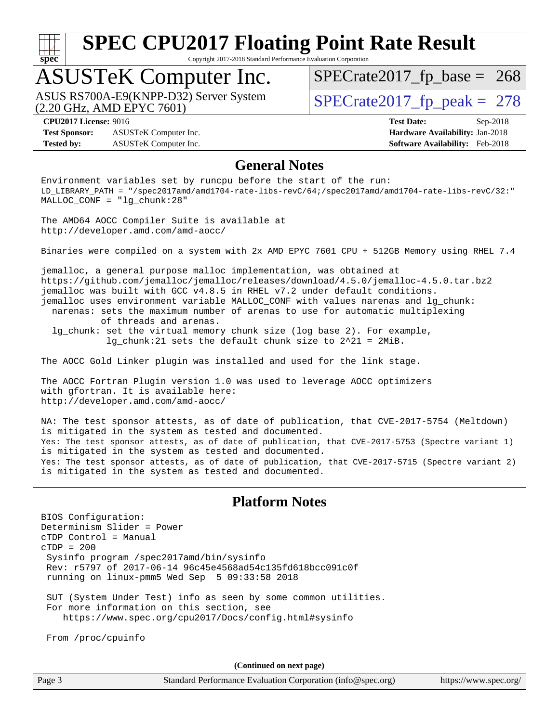

Copyright 2017-2018 Standard Performance Evaluation Corporation

## ASUSTeK Computer Inc.

(2.20 GHz, AMD EPYC 7601) ASUS RS700A-E9(KNPP-D32) Server System  $\vert$ [SPECrate2017\\_fp\\_peak =](http://www.spec.org/auto/cpu2017/Docs/result-fields.html#SPECrate2017fppeak) 278

 $SPECTate2017_fp\_base = 268$ 

**[Test Sponsor:](http://www.spec.org/auto/cpu2017/Docs/result-fields.html#TestSponsor)** ASUSTeK Computer Inc. **[Hardware Availability:](http://www.spec.org/auto/cpu2017/Docs/result-fields.html#HardwareAvailability)** Jan-2018 **[Tested by:](http://www.spec.org/auto/cpu2017/Docs/result-fields.html#Testedby)** ASUSTeK Computer Inc. **[Software Availability:](http://www.spec.org/auto/cpu2017/Docs/result-fields.html#SoftwareAvailability)** Feb-2018

**[CPU2017 License:](http://www.spec.org/auto/cpu2017/Docs/result-fields.html#CPU2017License)** 9016 **[Test Date:](http://www.spec.org/auto/cpu2017/Docs/result-fields.html#TestDate)** Sep-2018

### **[General Notes](http://www.spec.org/auto/cpu2017/Docs/result-fields.html#GeneralNotes)**

Environment variables set by runcpu before the start of the run: LD\_LIBRARY\_PATH = "/spec2017amd/amd1704-rate-libs-revC/64;/spec2017amd/amd1704-rate-libs-revC/32:" MALLOC\_CONF = "lg\_chunk:28"

The AMD64 AOCC Compiler Suite is available at <http://developer.amd.com/amd-aocc/>

Binaries were compiled on a system with 2x AMD EPYC 7601 CPU + 512GB Memory using RHEL 7.4

jemalloc, a general purpose malloc implementation, was obtained at <https://github.com/jemalloc/jemalloc/releases/download/4.5.0/jemalloc-4.5.0.tar.bz2> jemalloc was built with GCC v4.8.5 in RHEL v7.2 under default conditions. jemalloc uses environment variable MALLOC\_CONF with values narenas and lg\_chunk: narenas: sets the maximum number of arenas to use for automatic multiplexing of threads and arenas.

 lg\_chunk: set the virtual memory chunk size (log base 2). For example, lg\_chunk:21 sets the default chunk size to 2^21 = 2MiB.

The AOCC Gold Linker plugin was installed and used for the link stage.

The AOCC Fortran Plugin version 1.0 was used to leverage AOCC optimizers with gfortran. It is available here: <http://developer.amd.com/amd-aocc/>

NA: The test sponsor attests, as of date of publication, that CVE-2017-5754 (Meltdown) is mitigated in the system as tested and documented. Yes: The test sponsor attests, as of date of publication, that CVE-2017-5753 (Spectre variant 1) is mitigated in the system as tested and documented. Yes: The test sponsor attests, as of date of publication, that CVE-2017-5715 (Spectre variant 2) is mitigated in the system as tested and documented.

#### **[Platform Notes](http://www.spec.org/auto/cpu2017/Docs/result-fields.html#PlatformNotes)**

BIOS Configuration: Determinism Slider = Power cTDP Control = Manual  $CTDP = 200$  Sysinfo program /spec2017amd/bin/sysinfo Rev: r5797 of 2017-06-14 96c45e4568ad54c135fd618bcc091c0f running on linux-pmm5 Wed Sep 5 09:33:58 2018

 SUT (System Under Test) info as seen by some common utilities. For more information on this section, see <https://www.spec.org/cpu2017/Docs/config.html#sysinfo>

From /proc/cpuinfo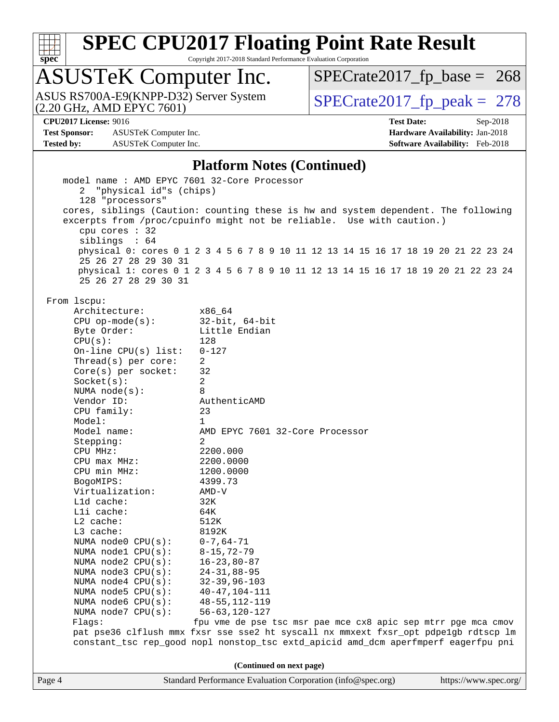

Copyright 2017-2018 Standard Performance Evaluation Corporation

# ASUSTeK Computer Inc.<br>ASUS RS700A-E9(KNPP-D32) Server System

(2.20 GHz, AMD EPYC 7601)

 $SPECTate 2017_fp\_peak = 278$  $SPECTate2017_fp\_base = 268$ 

**[Test Sponsor:](http://www.spec.org/auto/cpu2017/Docs/result-fields.html#TestSponsor)** ASUSTeK Computer Inc. **[Hardware Availability:](http://www.spec.org/auto/cpu2017/Docs/result-fields.html#HardwareAvailability)** Jan-2018 **[Tested by:](http://www.spec.org/auto/cpu2017/Docs/result-fields.html#Testedby)** ASUSTeK Computer Inc. **[Software Availability:](http://www.spec.org/auto/cpu2017/Docs/result-fields.html#SoftwareAvailability)** Feb-2018

**[CPU2017 License:](http://www.spec.org/auto/cpu2017/Docs/result-fields.html#CPU2017License)** 9016 **[Test Date:](http://www.spec.org/auto/cpu2017/Docs/result-fields.html#TestDate)** Sep-2018

#### **[Platform Notes \(Continued\)](http://www.spec.org/auto/cpu2017/Docs/result-fields.html#PlatformNotes)**

| model name : AMD EPYC 7601 32-Core Processor |                                                                                     |                       |
|----------------------------------------------|-------------------------------------------------------------------------------------|-----------------------|
| 2 "physical id"s (chips)                     |                                                                                     |                       |
| 128 "processors"                             |                                                                                     |                       |
|                                              | cores, siblings (Caution: counting these is hw and system dependent. The following  |                       |
|                                              | excerpts from /proc/cpuinfo might not be reliable. Use with caution.)               |                       |
| cpu cores $: 32$                             |                                                                                     |                       |
| siblings : 64                                |                                                                                     |                       |
|                                              | physical 0: cores 0 1 2 3 4 5 6 7 8 9 10 11 12 13 14 15 16 17 18 19 20 21 22 23 24  |                       |
| 25 26 27 28 29 30 31                         |                                                                                     |                       |
|                                              | physical 1: cores 0 1 2 3 4 5 6 7 8 9 10 11 12 13 14 15 16 17 18 19 20 21 22 23 24  |                       |
| 25 26 27 28 29 30 31                         |                                                                                     |                       |
|                                              |                                                                                     |                       |
| From lscpu:                                  |                                                                                     |                       |
| Architecture:                                | x86 64                                                                              |                       |
| $CPU$ op-mode( $s$ ):                        | 32-bit, 64-bit                                                                      |                       |
| Byte Order:                                  | Little Endian                                                                       |                       |
| CPU(s):                                      | 128                                                                                 |                       |
| On-line CPU $(s)$ list:                      | $0 - 127$                                                                           |                       |
| Thread(s) per core:                          | $\overline{2}$                                                                      |                       |
| Core(s) per socket:                          | 32                                                                                  |                       |
| Socket(s):                                   | $\overline{a}$                                                                      |                       |
| NUMA $node(s):$                              | 8                                                                                   |                       |
| Vendor ID:                                   | AuthenticAMD                                                                        |                       |
| CPU family:                                  | 23                                                                                  |                       |
| Model:                                       | $\mathbf{1}$                                                                        |                       |
| Model name:                                  | AMD EPYC 7601 32-Core Processor                                                     |                       |
| Stepping:                                    | 2                                                                                   |                       |
| CPU MHz:                                     | 2200.000                                                                            |                       |
| $CPU$ max $MHz$ :                            | 2200.0000                                                                           |                       |
| CPU min MHz:                                 | 1200.0000                                                                           |                       |
| BogoMIPS:                                    | 4399.73                                                                             |                       |
| Virtualization:                              | AMD-V                                                                               |                       |
| L1d cache:                                   | 32K                                                                                 |                       |
| Lli cache:                                   | 64K                                                                                 |                       |
| $L2$ cache:                                  | 512K                                                                                |                       |
| L3 cache:                                    | 8192K                                                                               |                       |
| NUMA $node0$ $CPU(s):$                       | $0 - 7, 64 - 71$                                                                    |                       |
| NUMA nodel CPU(s):                           | $8 - 15, 72 - 79$                                                                   |                       |
| NUMA $node2$ $CPU(s):$                       | $16 - 23,80 - 87$                                                                   |                       |
| NUMA $node3$ CPU $(s)$ :                     | $24 - 31, 88 - 95$                                                                  |                       |
| NUMA $node4$ $CPU(s):$                       | $32 - 39, 96 - 103$                                                                 |                       |
| NUMA $node5$ $CPU(s):$                       | 40-47,104-111                                                                       |                       |
| NUMA node6 CPU(s):                           | $48 - 55, 112 - 119$                                                                |                       |
| NUMA node7 CPU(s):                           | 56-63,120-127                                                                       |                       |
| Flags:                                       | fpu vme de pse tsc msr pae mce cx8 apic sep mtrr pge mca cmov                       |                       |
|                                              | pat pse36 clflush mmx fxsr sse sse2 ht syscall nx mmxext fxsr_opt pdpe1gb rdtscp lm |                       |
|                                              | constant_tsc rep_good nopl nonstop_tsc extd_apicid amd_dcm aperfmperf eagerfpu pni  |                       |
|                                              |                                                                                     |                       |
|                                              | (Continued on next page)                                                            |                       |
| Page 4                                       | Standard Performance Evaluation Corporation (info@spec.org)                         | https://www.spec.org/ |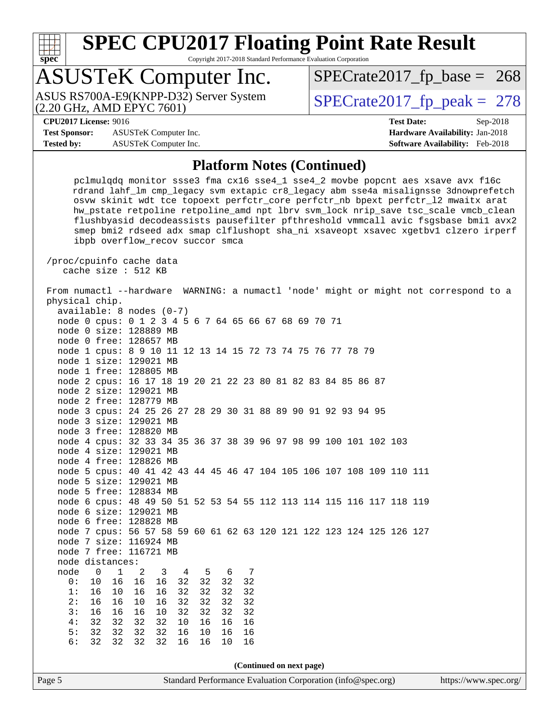

Copyright 2017-2018 Standard Performance Evaluation Corporation

# ASUSTeK Computer Inc.

(2.20 GHz, AMD EPYC 7601)

ASUS RS700A-E9(KNPP-D32) Server System  $\big|$  [SPECrate2017\\_fp\\_peak =](http://www.spec.org/auto/cpu2017/Docs/result-fields.html#SPECrate2017fppeak) 278

 $SPECTate2017_fp\_base = 268$ 

**[Test Sponsor:](http://www.spec.org/auto/cpu2017/Docs/result-fields.html#TestSponsor)** ASUSTeK Computer Inc. **[Hardware Availability:](http://www.spec.org/auto/cpu2017/Docs/result-fields.html#HardwareAvailability)** Jan-2018 **[Tested by:](http://www.spec.org/auto/cpu2017/Docs/result-fields.html#Testedby)** ASUSTeK Computer Inc. **[Software Availability:](http://www.spec.org/auto/cpu2017/Docs/result-fields.html#SoftwareAvailability)** Feb-2018

**[CPU2017 License:](http://www.spec.org/auto/cpu2017/Docs/result-fields.html#CPU2017License)** 9016 **[Test Date:](http://www.spec.org/auto/cpu2017/Docs/result-fields.html#TestDate)** Sep-2018

#### **[Platform Notes \(Continued\)](http://www.spec.org/auto/cpu2017/Docs/result-fields.html#PlatformNotes)**

 pclmulqdq monitor ssse3 fma cx16 sse4\_1 sse4\_2 movbe popcnt aes xsave avx f16c rdrand lahf\_lm cmp\_legacy svm extapic cr8\_legacy abm sse4a misalignsse 3dnowprefetch osvw skinit wdt tce topoext perfctr\_core perfctr\_nb bpext perfctr\_l2 mwaitx arat hw\_pstate retpoline retpoline\_amd npt lbrv svm\_lock nrip\_save tsc\_scale vmcb\_clean flushbyasid decodeassists pausefilter pfthreshold vmmcall avic fsgsbase bmi1 avx2 smep bmi2 rdseed adx smap clflushopt sha\_ni xsaveopt xsavec xgetbv1 clzero irperf ibpb overflow\_recov succor smca

 /proc/cpuinfo cache data cache size : 512 KB

 From numactl --hardware WARNING: a numactl 'node' might or might not correspond to a physical chip. available: 8 nodes (0-7) node 0 cpus: 0 1 2 3 4 5 6 7 64 65 66 67 68 69 70 71 node 0 size: 128889 MB node 0 free: 128657 MB

node 1 cpus: 8 9 10 11 12 13 14 15 72 73 74 75 76 77 78 79

 node 1 size: 129021 MB node 1 free: 128805 MB

node 2 cpus: 16 17 18 19 20 21 22 23 80 81 82 83 84 85 86 87

 node 2 size: 129021 MB node 2 free: 128779 MB

node 3 cpus: 24 25 26 27 28 29 30 31 88 89 90 91 92 93 94 95

 node 3 size: 129021 MB node 3 free: 128820 MB

node 4 cpus: 32 33 34 35 36 37 38 39 96 97 98 99 100 101 102 103

 node 4 size: 129021 MB node 4 free: 128826 MB

 node 5 cpus: 40 41 42 43 44 45 46 47 104 105 106 107 108 109 110 111 node 5 size: 129021 MB

 node 5 free: 128834 MB node 6 cpus: 48 49 50 51 52 53 54 55 112 113 114 115 116 117 118 119 node 6 size: 129021 MB

 node 6 free: 128828 MB node 7 cpus: 56 57 58 59 60 61 62 63 120 121 122 123 124 125 126 127

 node 7 size: 116924 MB node 7 free: 116721 MB

node distances:

node 0 1 2 3 4 5 6 7<br>0: 10 16 16 16 32 32 32 32 0: 10 16 16 16 32 32 32 32 1: 16 10 16 16 32 32 32 32 2: 16 16 10 16 32 32 32 32

 3: 16 16 16 10 32 32 32 32 4: 32 32 32 32 10 16 16 16 5: 32 32 32 32 16 10 16 16 6: 32 32 32 32 16 16 10 16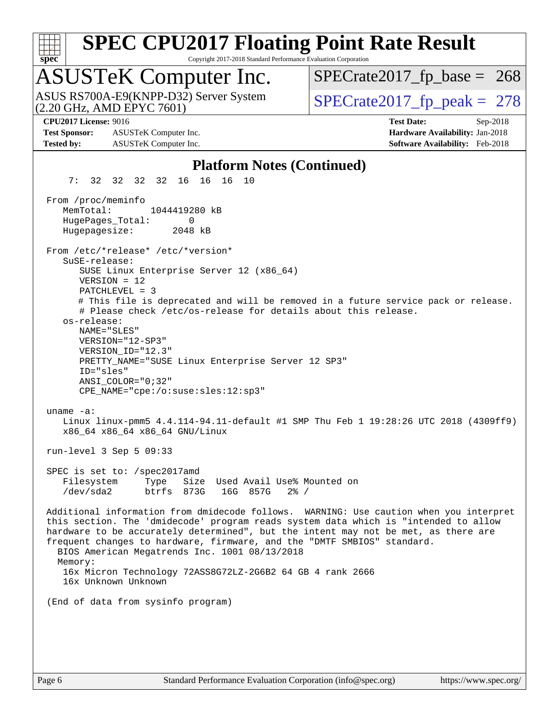

Copyright 2017-2018 Standard Performance Evaluation Corporation

## ASUSTeK Computer Inc.

(2.20 GHz, AMD EPYC 7601) ASUS RS700A-E9(KNPP-D32) Server System  $\vert$ [SPECrate2017\\_fp\\_peak =](http://www.spec.org/auto/cpu2017/Docs/result-fields.html#SPECrate2017fppeak) 278

 $SPECTate2017_fp\_base = 268$ 

**[Test Sponsor:](http://www.spec.org/auto/cpu2017/Docs/result-fields.html#TestSponsor)** ASUSTeK Computer Inc. **[Hardware Availability:](http://www.spec.org/auto/cpu2017/Docs/result-fields.html#HardwareAvailability)** Jan-2018 **[Tested by:](http://www.spec.org/auto/cpu2017/Docs/result-fields.html#Testedby)** ASUSTeK Computer Inc. **[Software Availability:](http://www.spec.org/auto/cpu2017/Docs/result-fields.html#SoftwareAvailability)** Feb-2018

**[CPU2017 License:](http://www.spec.org/auto/cpu2017/Docs/result-fields.html#CPU2017License)** 9016 **[Test Date:](http://www.spec.org/auto/cpu2017/Docs/result-fields.html#TestDate)** Sep-2018

#### **[Platform Notes \(Continued\)](http://www.spec.org/auto/cpu2017/Docs/result-fields.html#PlatformNotes)**

 7: 32 32 32 32 16 16 16 10 From /proc/meminfo MemTotal: 1044419280 kB HugePages\_Total: 0 Hugepagesize: 2048 kB From /etc/\*release\* /etc/\*version\* SuSE-release: SUSE Linux Enterprise Server 12 (x86\_64) VERSION = 12 PATCHLEVEL = 3 # This file is deprecated and will be removed in a future service pack or release. # Please check /etc/os-release for details about this release. os-release: NAME="SLES" VERSION="12-SP3" VERSION\_ID="12.3" PRETTY\_NAME="SUSE Linux Enterprise Server 12 SP3" ID="sles" ANSI\_COLOR="0;32" CPE\_NAME="cpe:/o:suse:sles:12:sp3" uname -a: Linux linux-pmm5 4.4.114-94.11-default #1 SMP Thu Feb 1 19:28:26 UTC 2018 (4309ff9) x86\_64 x86\_64 x86\_64 GNU/Linux run-level 3 Sep 5 09:33 SPEC is set to: /spec2017amd Filesystem Type Size Used Avail Use% Mounted on /dev/sda2 btrfs 873G 16G 857G 2% / Additional information from dmidecode follows. WARNING: Use caution when you interpret this section. The 'dmidecode' program reads system data which is "intended to allow hardware to be accurately determined", but the intent may not be met, as there are frequent changes to hardware, firmware, and the "DMTF SMBIOS" standard. BIOS American Megatrends Inc. 1001 08/13/2018 Memory: 16x Micron Technology 72ASS8G72LZ-2G6B2 64 GB 4 rank 2666 16x Unknown Unknown (End of data from sysinfo program)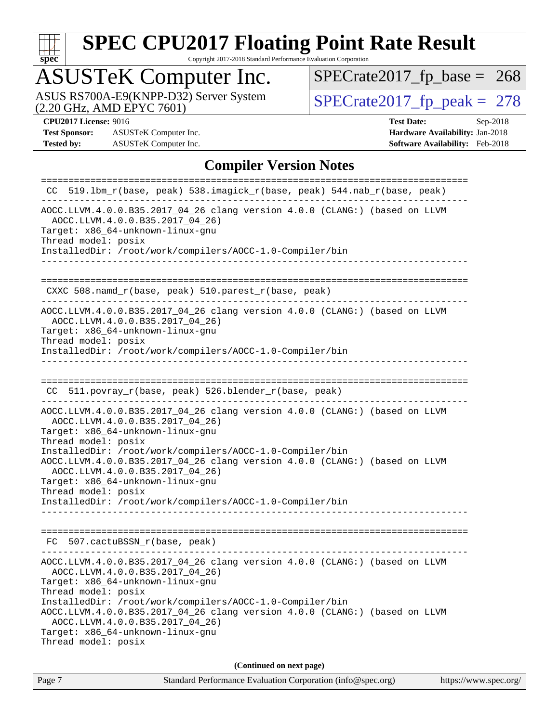

Copyright 2017-2018 Standard Performance Evaluation Corporation

# ASUSTeK Computer Inc.<br>ASUS RS700A-E9(KNPP-D32) Server System

(2.20 GHz, AMD EPYC 7601)

 $SPECTate 2017_fp\_peak = 278$  $SPECTate2017_fp\_base = 268$ 

**[Test Sponsor:](http://www.spec.org/auto/cpu2017/Docs/result-fields.html#TestSponsor)** ASUSTeK Computer Inc. **[Hardware Availability:](http://www.spec.org/auto/cpu2017/Docs/result-fields.html#HardwareAvailability)** Jan-2018 **[Tested by:](http://www.spec.org/auto/cpu2017/Docs/result-fields.html#Testedby)** ASUSTeK Computer Inc. **[Software Availability:](http://www.spec.org/auto/cpu2017/Docs/result-fields.html#SoftwareAvailability)** Feb-2018

**[CPU2017 License:](http://www.spec.org/auto/cpu2017/Docs/result-fields.html#CPU2017License)** 9016 **[Test Date:](http://www.spec.org/auto/cpu2017/Docs/result-fields.html#TestDate)** Sep-2018

#### **[Compiler Version Notes](http://www.spec.org/auto/cpu2017/Docs/result-fields.html#CompilerVersionNotes)**

| Page 7                                     | Standard Performance Evaluation Corporation (info@spec.org)<br>https://www.spec.org/                                                                                                                                                                                                                                                                                                                                           |
|--------------------------------------------|--------------------------------------------------------------------------------------------------------------------------------------------------------------------------------------------------------------------------------------------------------------------------------------------------------------------------------------------------------------------------------------------------------------------------------|
|                                            | (Continued on next page)                                                                                                                                                                                                                                                                                                                                                                                                       |
| Thread model: posix<br>Thread model: posix | AOCC.LLVM.4.0.0.B35.2017_04_26 clang version 4.0.0 (CLANG:) (based on LLVM<br>AOCC.LLVM.4.0.0.B35.2017_04_26)<br>Target: x86_64-unknown-linux-gnu<br>InstalledDir: /root/work/compilers/AOCC-1.0-Compiler/bin<br>AOCC.LLVM.4.0.0.B35.2017_04_26 clang version 4.0.0 (CLANG:) (based on LLVM<br>AOCC.LLVM.4.0.0.B35.2017_04_26)<br>Target: x86_64-unknown-linux-gnu                                                             |
|                                            | FC 507.cactuBSSN_r(base, peak)                                                                                                                                                                                                                                                                                                                                                                                                 |
| Thread model: posix<br>Thread model: posix | AOCC.LLVM.4.0.0.B35.2017_04_26 clang version 4.0.0 (CLANG:) (based on LLVM<br>AOCC.LLVM.4.0.0.B35.2017 04 26)<br>Target: x86_64-unknown-linux-gnu<br>InstalledDir: /root/work/compilers/AOCC-1.0-Compiler/bin<br>AOCC.LLVM.4.0.0.B35.2017_04_26 clang version 4.0.0 (CLANG:) (based on LLVM<br>AOCC.LLVM.4.0.0.B35.2017_04_26)<br>Target: x86_64-unknown-linux-gnu<br>InstalledDir: /root/work/compilers/AOCC-1.0-Compiler/bin |
|                                            | CC 511.povray_r(base, peak) 526.blender_r(base, peak)                                                                                                                                                                                                                                                                                                                                                                          |
| Thread model: posix                        | AOCC.LLVM.4.0.0.B35.2017_04_26 clang version 4.0.0 (CLANG:) (based on LLVM<br>AOCC.LLVM.4.0.0.B35.2017_04_26)<br>Target: x86_64-unknown-linux-gnu<br>InstalledDir: /root/work/compilers/AOCC-1.0-Compiler/bin<br>-------------------                                                                                                                                                                                           |
|                                            | CXXC 508.namd_r(base, peak) 510.parest_r(base, peak)                                                                                                                                                                                                                                                                                                                                                                           |
| Thread model: posix                        | AOCC.LLVM.4.0.0.B35.2017_04_26 clang version 4.0.0 (CLANG:) (based on LLVM<br>AOCC.LLVM.4.0.0.B35.2017_04_26)<br>Target: x86_64-unknown-linux-gnu<br>InstalledDir: /root/work/compilers/AOCC-1.0-Compiler/bin                                                                                                                                                                                                                  |
|                                            |                                                                                                                                                                                                                                                                                                                                                                                                                                |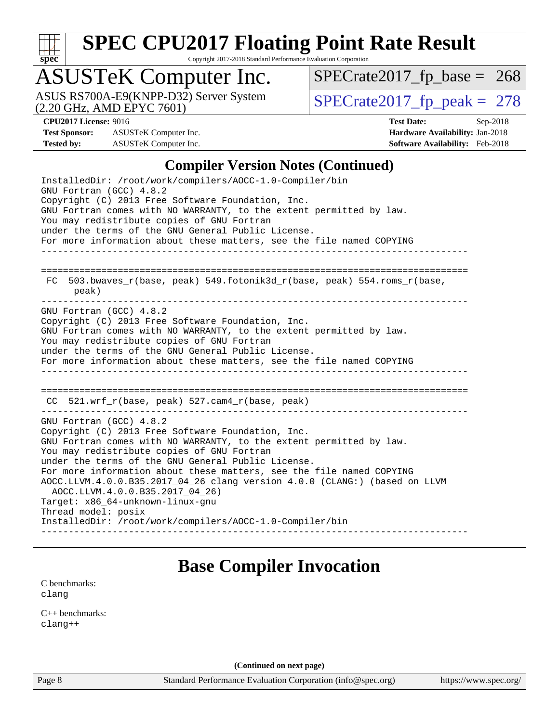

Copyright 2017-2018 Standard Performance Evaluation Corporation

## ASUSTeK Computer Inc.

(2.20 GHz, AMD EPYC 7601) ASUS RS700A-E9(KNPP-D32) Server System  $\sqrt{\text{SPECrate}2017\text{ fp\_peak}} = 278$ 

 $SPECTate2017_fp\_base = 268$ 

**[Test Sponsor:](http://www.spec.org/auto/cpu2017/Docs/result-fields.html#TestSponsor)** ASUSTeK Computer Inc. **[Hardware Availability:](http://www.spec.org/auto/cpu2017/Docs/result-fields.html#HardwareAvailability)** Jan-2018 **[Tested by:](http://www.spec.org/auto/cpu2017/Docs/result-fields.html#Testedby)** ASUSTeK Computer Inc. **[Software Availability:](http://www.spec.org/auto/cpu2017/Docs/result-fields.html#SoftwareAvailability)** Feb-2018

**[CPU2017 License:](http://www.spec.org/auto/cpu2017/Docs/result-fields.html#CPU2017License)** 9016 **[Test Date:](http://www.spec.org/auto/cpu2017/Docs/result-fields.html#TestDate)** Sep-2018

#### **[Compiler Version Notes \(Continued\)](http://www.spec.org/auto/cpu2017/Docs/result-fields.html#CompilerVersionNotes)**

InstalledDir: /root/work/compilers/AOCC-1.0-Compiler/bin GNU Fortran (GCC) 4.8.2 Copyright (C) 2013 Free Software Foundation, Inc. GNU Fortran comes with NO WARRANTY, to the extent permitted by law. You may redistribute copies of GNU Fortran under the terms of the GNU General Public License. For more information about these matters, see the file named COPYING ------------------------------------------------------------------------------ ============================================================================== FC 503.bwaves\_r(base, peak) 549.fotonik3d\_r(base, peak) 554.roms\_r(base, peak) GNU Fortran (GCC) 4.8.2 Copyright (C) 2013 Free Software Foundation, Inc. GNU Fortran comes with NO WARRANTY, to the extent permitted by law. You may redistribute copies of GNU Fortran under the terms of the GNU General Public License. For more information about these matters, see the file named COPYING ------------------------------------------------------------------------------ ============================================================================== CC 521.wrf\_r(base, peak) 527.cam4\_r(base, peak) ------------------------------------------------------------------------------ GNU Fortran (GCC) 4.8.2 Copyright (C) 2013 Free Software Foundation, Inc. GNU Fortran comes with NO WARRANTY, to the extent permitted by law. You may redistribute copies of GNU Fortran under the terms of the GNU General Public License. For more information about these matters, see the file named COPYING AOCC.LLVM.4.0.0.B35.2017\_04\_26 clang version 4.0.0 (CLANG:) (based on LLVM AOCC.LLVM.4.0.0.B35.2017\_04\_26) Target: x86\_64-unknown-linux-gnu Thread model: posix InstalledDir: /root/work/compilers/AOCC-1.0-Compiler/bin ------------------------------------------------------------------------------

### **[Base Compiler Invocation](http://www.spec.org/auto/cpu2017/Docs/result-fields.html#BaseCompilerInvocation)**

[C benchmarks](http://www.spec.org/auto/cpu2017/Docs/result-fields.html#Cbenchmarks): [clang](http://www.spec.org/cpu2017/results/res2018q4/cpu2017-20180917-08862.flags.html#user_CCbase_Fclang3)

[C++ benchmarks:](http://www.spec.org/auto/cpu2017/Docs/result-fields.html#CXXbenchmarks) [clang++](http://www.spec.org/cpu2017/results/res2018q4/cpu2017-20180917-08862.flags.html#user_CXXbase_Fclang3_57a48582e5be507d19b2527b3e7d4f85d9b8669ffc9a8a0dbb9bcf949a918a58bbab411e0c4d14a3922022a3e425a90db94042683824c1806feff4324ca1000d)

**(Continued on next page)**

Page 8 Standard Performance Evaluation Corporation [\(info@spec.org\)](mailto:info@spec.org) <https://www.spec.org/>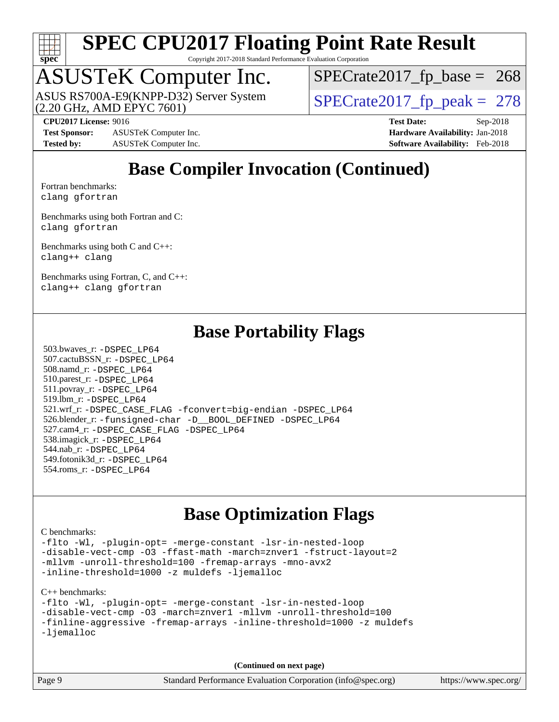

Copyright 2017-2018 Standard Performance Evaluation Corporation

# ASUSTeK Computer Inc.<br>ASUS RS700A-E9(KNPP-D32) Server System

(2.20 GHz, AMD EPYC 7601)

 $SPECTate2017_fp\_peak = 278$  $SPECTate2017_fp\_base = 268$ 

**[Test Sponsor:](http://www.spec.org/auto/cpu2017/Docs/result-fields.html#TestSponsor)** ASUSTeK Computer Inc. **[Hardware Availability:](http://www.spec.org/auto/cpu2017/Docs/result-fields.html#HardwareAvailability)** Jan-2018 **[Tested by:](http://www.spec.org/auto/cpu2017/Docs/result-fields.html#Testedby)** ASUSTeK Computer Inc. **[Software Availability:](http://www.spec.org/auto/cpu2017/Docs/result-fields.html#SoftwareAvailability)** Feb-2018

**[CPU2017 License:](http://www.spec.org/auto/cpu2017/Docs/result-fields.html#CPU2017License)** 9016 **[Test Date:](http://www.spec.org/auto/cpu2017/Docs/result-fields.html#TestDate)** Sep-2018

## **[Base Compiler Invocation \(Continued\)](http://www.spec.org/auto/cpu2017/Docs/result-fields.html#BaseCompilerInvocation)**

[Fortran benchmarks](http://www.spec.org/auto/cpu2017/Docs/result-fields.html#Fortranbenchmarks): [clang](http://www.spec.org/cpu2017/results/res2018q4/cpu2017-20180917-08862.flags.html#user_FCbase_Fclang3) [gfortran](http://www.spec.org/cpu2017/results/res2018q4/cpu2017-20180917-08862.flags.html#user_FCbase_Fgfortran_128c91a56d61ddb07404721e65b8f9498c31a443dacbd3b7f212891090eca86e2d099b520f75b99e9e8ac4fdec01f4d15f0b65e47123ec4c42b0759045731a1f)

[Benchmarks using both Fortran and C](http://www.spec.org/auto/cpu2017/Docs/result-fields.html#BenchmarksusingbothFortranandC): [clang](http://www.spec.org/cpu2017/results/res2018q4/cpu2017-20180917-08862.flags.html#user_CC_FCbase_Fclang3) [gfortran](http://www.spec.org/cpu2017/results/res2018q4/cpu2017-20180917-08862.flags.html#user_CC_FCbase_Fgfortran_128c91a56d61ddb07404721e65b8f9498c31a443dacbd3b7f212891090eca86e2d099b520f75b99e9e8ac4fdec01f4d15f0b65e47123ec4c42b0759045731a1f)

[Benchmarks using both C and C++](http://www.spec.org/auto/cpu2017/Docs/result-fields.html#BenchmarksusingbothCandCXX): [clang++](http://www.spec.org/cpu2017/results/res2018q4/cpu2017-20180917-08862.flags.html#user_CC_CXXbase_Fclang3_57a48582e5be507d19b2527b3e7d4f85d9b8669ffc9a8a0dbb9bcf949a918a58bbab411e0c4d14a3922022a3e425a90db94042683824c1806feff4324ca1000d) [clang](http://www.spec.org/cpu2017/results/res2018q4/cpu2017-20180917-08862.flags.html#user_CC_CXXbase_Fclang3)

[Benchmarks using Fortran, C, and C++:](http://www.spec.org/auto/cpu2017/Docs/result-fields.html#BenchmarksusingFortranCandCXX) [clang++](http://www.spec.org/cpu2017/results/res2018q4/cpu2017-20180917-08862.flags.html#user_CC_CXX_FCbase_Fclang3_57a48582e5be507d19b2527b3e7d4f85d9b8669ffc9a8a0dbb9bcf949a918a58bbab411e0c4d14a3922022a3e425a90db94042683824c1806feff4324ca1000d) [clang](http://www.spec.org/cpu2017/results/res2018q4/cpu2017-20180917-08862.flags.html#user_CC_CXX_FCbase_Fclang3) [gfortran](http://www.spec.org/cpu2017/results/res2018q4/cpu2017-20180917-08862.flags.html#user_CC_CXX_FCbase_Fgfortran_128c91a56d61ddb07404721e65b8f9498c31a443dacbd3b7f212891090eca86e2d099b520f75b99e9e8ac4fdec01f4d15f0b65e47123ec4c42b0759045731a1f)

### **[Base Portability Flags](http://www.spec.org/auto/cpu2017/Docs/result-fields.html#BasePortabilityFlags)**

 503.bwaves\_r: [-DSPEC\\_LP64](http://www.spec.org/cpu2017/results/res2018q4/cpu2017-20180917-08862.flags.html#suite_baseEXTRA_PORTABILITY503_bwaves_r_DSPEC_LP64) 507.cactuBSSN\_r: [-DSPEC\\_LP64](http://www.spec.org/cpu2017/results/res2018q4/cpu2017-20180917-08862.flags.html#suite_baseEXTRA_PORTABILITY507_cactuBSSN_r_DSPEC_LP64) 508.namd\_r: [-DSPEC\\_LP64](http://www.spec.org/cpu2017/results/res2018q4/cpu2017-20180917-08862.flags.html#suite_baseEXTRA_PORTABILITY508_namd_r_DSPEC_LP64) 510.parest\_r: [-DSPEC\\_LP64](http://www.spec.org/cpu2017/results/res2018q4/cpu2017-20180917-08862.flags.html#suite_baseEXTRA_PORTABILITY510_parest_r_DSPEC_LP64) 511.povray\_r: [-DSPEC\\_LP64](http://www.spec.org/cpu2017/results/res2018q4/cpu2017-20180917-08862.flags.html#suite_baseEXTRA_PORTABILITY511_povray_r_DSPEC_LP64) 519.lbm\_r: [-DSPEC\\_LP64](http://www.spec.org/cpu2017/results/res2018q4/cpu2017-20180917-08862.flags.html#suite_baseEXTRA_PORTABILITY519_lbm_r_DSPEC_LP64) 521.wrf\_r: [-DSPEC\\_CASE\\_FLAG](http://www.spec.org/cpu2017/results/res2018q4/cpu2017-20180917-08862.flags.html#b521.wrf_r_baseCPORTABILITY_DSPEC_CASE_FLAG) [-fconvert=big-endian](http://www.spec.org/cpu2017/results/res2018q4/cpu2017-20180917-08862.flags.html#user_baseFPORTABILITY521_wrf_r_F-fconvert) [-DSPEC\\_LP64](http://www.spec.org/cpu2017/results/res2018q4/cpu2017-20180917-08862.flags.html#suite_baseEXTRA_PORTABILITY521_wrf_r_DSPEC_LP64) 526.blender\_r: [-funsigned-char](http://www.spec.org/cpu2017/results/res2018q4/cpu2017-20180917-08862.flags.html#user_baseCPORTABILITY526_blender_r_F-funsigned-char) [-D\\_\\_BOOL\\_DEFINED](http://www.spec.org/cpu2017/results/res2018q4/cpu2017-20180917-08862.flags.html#b526.blender_r_baseCXXPORTABILITY_D__BOOL_DEFINED) [-DSPEC\\_LP64](http://www.spec.org/cpu2017/results/res2018q4/cpu2017-20180917-08862.flags.html#suite_baseEXTRA_PORTABILITY526_blender_r_DSPEC_LP64) 527.cam4\_r: [-DSPEC\\_CASE\\_FLAG](http://www.spec.org/cpu2017/results/res2018q4/cpu2017-20180917-08862.flags.html#b527.cam4_r_basePORTABILITY_DSPEC_CASE_FLAG) [-DSPEC\\_LP64](http://www.spec.org/cpu2017/results/res2018q4/cpu2017-20180917-08862.flags.html#suite_baseEXTRA_PORTABILITY527_cam4_r_DSPEC_LP64) 538.imagick\_r: [-DSPEC\\_LP64](http://www.spec.org/cpu2017/results/res2018q4/cpu2017-20180917-08862.flags.html#suite_baseEXTRA_PORTABILITY538_imagick_r_DSPEC_LP64) 544.nab\_r: [-DSPEC\\_LP64](http://www.spec.org/cpu2017/results/res2018q4/cpu2017-20180917-08862.flags.html#suite_baseEXTRA_PORTABILITY544_nab_r_DSPEC_LP64) 549.fotonik3d\_r: [-DSPEC\\_LP64](http://www.spec.org/cpu2017/results/res2018q4/cpu2017-20180917-08862.flags.html#suite_baseEXTRA_PORTABILITY549_fotonik3d_r_DSPEC_LP64) 554.roms\_r: [-DSPEC\\_LP64](http://www.spec.org/cpu2017/results/res2018q4/cpu2017-20180917-08862.flags.html#suite_baseEXTRA_PORTABILITY554_roms_r_DSPEC_LP64)

### **[Base Optimization Flags](http://www.spec.org/auto/cpu2017/Docs/result-fields.html#BaseOptimizationFlags)**

#### [C benchmarks](http://www.spec.org/auto/cpu2017/Docs/result-fields.html#Cbenchmarks):

[-flto](http://www.spec.org/cpu2017/results/res2018q4/cpu2017-20180917-08862.flags.html#user_CCbase_F-flto) [-Wl,](http://www.spec.org/cpu2017/results/res2018q4/cpu2017-20180917-08862.flags.html#user_CCbase_F-Wl_5f669859b7c1a0295edc4f5fd536c381023f180a987810cb5cfa1d9467a27ac14b13770b9732d7618b24fc778f3dfdf68b65521d505fc870281e0142944925a0) [-plugin-opt=](http://www.spec.org/cpu2017/results/res2018q4/cpu2017-20180917-08862.flags.html#user_CCbase_F-plugin-opt_772899571bb6157e4b8feeb3276e6c06dec41c1bbb0aa637c8700742a4baaf7e7b56061e32ae2365a76a44d8c448177ca3ee066cdf7537598ff772fc461942c2) [-merge-constant](http://www.spec.org/cpu2017/results/res2018q4/cpu2017-20180917-08862.flags.html#user_CCbase_F-merge-constant_bdb3ec75d21d5cf0ab1961ebe7105d0ea3b0c6d89a312cf7efc1d107e6c56c92c36b5d564d0702d1e2526f6b92f188b4413eb5a54b1f9e4a41f5a9bfc0233b92) [-lsr-in-nested-loop](http://www.spec.org/cpu2017/results/res2018q4/cpu2017-20180917-08862.flags.html#user_CCbase_F-lsr-in-nested-loop) [-disable-vect-cmp](http://www.spec.org/cpu2017/results/res2018q4/cpu2017-20180917-08862.flags.html#user_CCbase_F-disable-vect-cmp) [-O3](http://www.spec.org/cpu2017/results/res2018q4/cpu2017-20180917-08862.flags.html#user_CCbase_F-O3) [-ffast-math](http://www.spec.org/cpu2017/results/res2018q4/cpu2017-20180917-08862.flags.html#user_CCbase_F-aocc-ffast-math_78dd175de6534c2005829757b9b0f2878e57b067cce6f7c443b2250ac68890960e2e1b320ca04b81ff7c62c6f87870ed05f06baf7875eea2990d38e3b73c71f1) [-march=znver1](http://www.spec.org/cpu2017/results/res2018q4/cpu2017-20180917-08862.flags.html#user_CCbase_F-march) [-fstruct-layout=2](http://www.spec.org/cpu2017/results/res2018q4/cpu2017-20180917-08862.flags.html#user_CCbase_F-fstruct-layout_a05ec02e17cdf7fe0c3950a6b005251b2b1e5e67af2b5298cf72714730c3d59ba290e75546b10aa22dac074c15ceaca36ae22c62cb51bcb2fbdc9dc4e7e222c4) [-mllvm](http://www.spec.org/cpu2017/results/res2018q4/cpu2017-20180917-08862.flags.html#user_CCbase_F-mllvm_76e3f86ef8d8cc4dfa84cec42d531db351fee284f72cd5d644b5bdbef9c2604296512be6a431d9e19d0523544399ea9dd745afc2fff755a0705d428460dc659e) [-unroll-threshold=100](http://www.spec.org/cpu2017/results/res2018q4/cpu2017-20180917-08862.flags.html#user_CCbase_F-unroll-threshold) [-fremap-arrays](http://www.spec.org/cpu2017/results/res2018q4/cpu2017-20180917-08862.flags.html#user_CCbase_F-fremap-arrays) [-mno-avx2](http://www.spec.org/cpu2017/results/res2018q4/cpu2017-20180917-08862.flags.html#user_CCbase_F-mno-avx2) [-inline-threshold=1000](http://www.spec.org/cpu2017/results/res2018q4/cpu2017-20180917-08862.flags.html#user_CCbase_F-inline-threshold_1daf3e0321a7a0c1ea19068c818f3f119b1e5dfc986cc791557791f4b93536c1546ba0c8585f62303269f504aa232e0ca278e8489928152e32e0752215741730) [-z muldefs](http://www.spec.org/cpu2017/results/res2018q4/cpu2017-20180917-08862.flags.html#user_CCbase_F-z) [-ljemalloc](http://www.spec.org/cpu2017/results/res2018q4/cpu2017-20180917-08862.flags.html#user_CCbase_F-ljemalloc)

[C++ benchmarks:](http://www.spec.org/auto/cpu2017/Docs/result-fields.html#CXXbenchmarks)

| -flto -Wl, -plugin-opt= -merge-constant -lsr-in-nested-loop          |
|----------------------------------------------------------------------|
| -disable-vect-cmp -03 -march=znver1 -mllvm -unroll-threshold=100     |
| -finline-aggressive -fremap-arrays -inline-threshold=1000 -z muldefs |
| -liemalloc                                                           |

| Page 9 | Standard Performance Evaluation Corporation (info@spec.org) | https://www.spec.org/ |
|--------|-------------------------------------------------------------|-----------------------|
|        |                                                             |                       |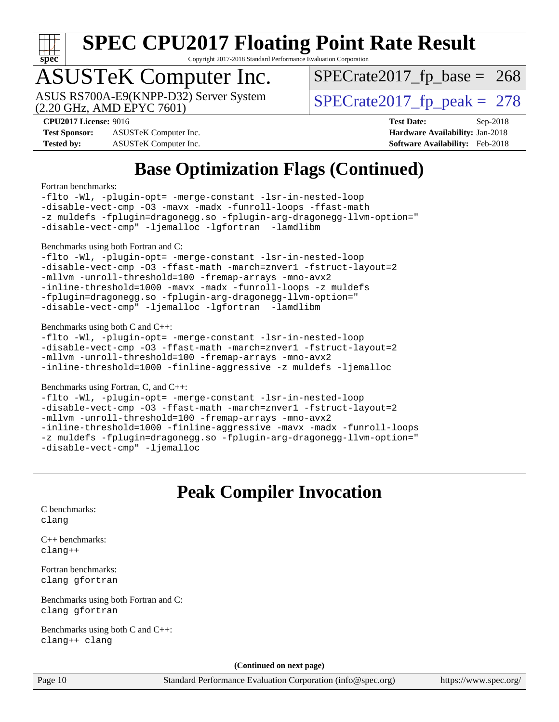

Copyright 2017-2018 Standard Performance Evaluation Corporation

## ASUSTeK Computer Inc.

(2.20 GHz, AMD EPYC 7601) ASUS RS700A-E9(KNPP-D32) Server System  $\sqrt{\text{SPECrate2017\_fp\_peak}} = 278$ 

 $SPECTate2017_fp\_base = 268$ 

**[Test Sponsor:](http://www.spec.org/auto/cpu2017/Docs/result-fields.html#TestSponsor)** ASUSTeK Computer Inc. **[Hardware Availability:](http://www.spec.org/auto/cpu2017/Docs/result-fields.html#HardwareAvailability)** Jan-2018 **[Tested by:](http://www.spec.org/auto/cpu2017/Docs/result-fields.html#Testedby)** ASUSTeK Computer Inc. **[Software Availability:](http://www.spec.org/auto/cpu2017/Docs/result-fields.html#SoftwareAvailability)** Feb-2018

**[CPU2017 License:](http://www.spec.org/auto/cpu2017/Docs/result-fields.html#CPU2017License)** 9016 **[Test Date:](http://www.spec.org/auto/cpu2017/Docs/result-fields.html#TestDate)** Sep-2018

## **[Base Optimization Flags \(Continued\)](http://www.spec.org/auto/cpu2017/Docs/result-fields.html#BaseOptimizationFlags)**

#### [Fortran benchmarks](http://www.spec.org/auto/cpu2017/Docs/result-fields.html#Fortranbenchmarks):

[-flto](http://www.spec.org/cpu2017/results/res2018q4/cpu2017-20180917-08862.flags.html#user_FCbase_F-flto) [-Wl,](http://www.spec.org/cpu2017/results/res2018q4/cpu2017-20180917-08862.flags.html#user_FCbase_F-Wl_5f669859b7c1a0295edc4f5fd536c381023f180a987810cb5cfa1d9467a27ac14b13770b9732d7618b24fc778f3dfdf68b65521d505fc870281e0142944925a0) [-plugin-opt=](http://www.spec.org/cpu2017/results/res2018q4/cpu2017-20180917-08862.flags.html#user_FCbase_F-plugin-opt_772899571bb6157e4b8feeb3276e6c06dec41c1bbb0aa637c8700742a4baaf7e7b56061e32ae2365a76a44d8c448177ca3ee066cdf7537598ff772fc461942c2) [-merge-constant](http://www.spec.org/cpu2017/results/res2018q4/cpu2017-20180917-08862.flags.html#user_FCbase_F-merge-constant_bdb3ec75d21d5cf0ab1961ebe7105d0ea3b0c6d89a312cf7efc1d107e6c56c92c36b5d564d0702d1e2526f6b92f188b4413eb5a54b1f9e4a41f5a9bfc0233b92) [-lsr-in-nested-loop](http://www.spec.org/cpu2017/results/res2018q4/cpu2017-20180917-08862.flags.html#user_FCbase_F-lsr-in-nested-loop) [-disable-vect-cmp](http://www.spec.org/cpu2017/results/res2018q4/cpu2017-20180917-08862.flags.html#user_FCbase_F-disable-vect-cmp) [-O3](http://www.spec.org/cpu2017/results/res2018q4/cpu2017-20180917-08862.flags.html#user_FCbase_F-O3) [-mavx](http://www.spec.org/cpu2017/results/res2018q4/cpu2017-20180917-08862.flags.html#user_FCbase_F-mavx) [-madx](http://www.spec.org/cpu2017/results/res2018q4/cpu2017-20180917-08862.flags.html#user_FCbase_F-madx) [-funroll-loops](http://www.spec.org/cpu2017/results/res2018q4/cpu2017-20180917-08862.flags.html#user_FCbase_F-unroll-loops_8fdf280928764d9d41292bdc3425e5555cd4ab6a7f63f644d86d9975018a7734f096cc4e18d42daf6ad3e0129471d6cbab5753393f37b921d9992452e5e9f30e) [-ffast-math](http://www.spec.org/cpu2017/results/res2018q4/cpu2017-20180917-08862.flags.html#user_FCbase_F-aocc-ffast-math_78dd175de6534c2005829757b9b0f2878e57b067cce6f7c443b2250ac68890960e2e1b320ca04b81ff7c62c6f87870ed05f06baf7875eea2990d38e3b73c71f1) [-z muldefs](http://www.spec.org/cpu2017/results/res2018q4/cpu2017-20180917-08862.flags.html#user_FCbase_F-z) [-fplugin=dragonegg.so](http://www.spec.org/cpu2017/results/res2018q4/cpu2017-20180917-08862.flags.html#user_FCbase_F-fpluginDragonEgg) [-fplugin-arg-dragonegg-llvm-option="](http://www.spec.org/cpu2017/results/res2018q4/cpu2017-20180917-08862.flags.html#user_FCbase_F-fplugin-arg-dragonegg-llvm-option_98400a9ab866ed0085f1e7306b6fe3b9aac45e0c6ce6c4c776296af40a6f95ac09a5771072dd0b0cdcb566a3e79e79d2a726fc48d436745311228115dad9979d) [-disable-vect-cmp"](http://www.spec.org/cpu2017/results/res2018q4/cpu2017-20180917-08862.flags.html#user_FCbase_F-dragonegg-llvm-disable-vect-cmp_6cf351a29613b68bfdbd040d3e22ab0ce250093fe1c4f1b0b3e19cc513bf9fe59893782c14402abfbebd018ed2d47d139a1a3c59a802b3eac454540228820b23) [-ljemalloc](http://www.spec.org/cpu2017/results/res2018q4/cpu2017-20180917-08862.flags.html#user_FCbase_F-ljemalloc) [-lgfortran](http://www.spec.org/cpu2017/results/res2018q4/cpu2017-20180917-08862.flags.html#user_FCbase_F-lgfortran_aee53aa7918ae35ea4e5035d616421204ae8a638c05873868b1aa8743e73ef3f738c1d9cddaea8bce7f96e18015ec2f72d6588008f90a113075c46bd34a5e3c3) [-lamdlibm](http://www.spec.org/cpu2017/results/res2018q4/cpu2017-20180917-08862.flags.html#user_FCbase_F-lamdlibm_1db3d84841b8a1b4efe9441895380ccb52ec69ae4c885fce609f880d1f58d8b3c2693ad984247faf1d5c0b0abc492f2987ed2911d4dbfc830003ff87fe5a2273) 

#### [Benchmarks using both Fortran and C](http://www.spec.org/auto/cpu2017/Docs/result-fields.html#BenchmarksusingbothFortranandC):

[-flto](http://www.spec.org/cpu2017/results/res2018q4/cpu2017-20180917-08862.flags.html#user_CC_FCbase_F-flto) [-Wl,](http://www.spec.org/cpu2017/results/res2018q4/cpu2017-20180917-08862.flags.html#user_CC_FCbase_F-Wl_5f669859b7c1a0295edc4f5fd536c381023f180a987810cb5cfa1d9467a27ac14b13770b9732d7618b24fc778f3dfdf68b65521d505fc870281e0142944925a0) [-plugin-opt=](http://www.spec.org/cpu2017/results/res2018q4/cpu2017-20180917-08862.flags.html#user_CC_FCbase_F-plugin-opt_772899571bb6157e4b8feeb3276e6c06dec41c1bbb0aa637c8700742a4baaf7e7b56061e32ae2365a76a44d8c448177ca3ee066cdf7537598ff772fc461942c2) [-merge-constant](http://www.spec.org/cpu2017/results/res2018q4/cpu2017-20180917-08862.flags.html#user_CC_FCbase_F-merge-constant_bdb3ec75d21d5cf0ab1961ebe7105d0ea3b0c6d89a312cf7efc1d107e6c56c92c36b5d564d0702d1e2526f6b92f188b4413eb5a54b1f9e4a41f5a9bfc0233b92) [-lsr-in-nested-loop](http://www.spec.org/cpu2017/results/res2018q4/cpu2017-20180917-08862.flags.html#user_CC_FCbase_F-lsr-in-nested-loop) [-disable-vect-cmp](http://www.spec.org/cpu2017/results/res2018q4/cpu2017-20180917-08862.flags.html#user_CC_FCbase_F-disable-vect-cmp) [-O3](http://www.spec.org/cpu2017/results/res2018q4/cpu2017-20180917-08862.flags.html#user_CC_FCbase_F-O3) [-ffast-math](http://www.spec.org/cpu2017/results/res2018q4/cpu2017-20180917-08862.flags.html#user_CC_FCbase_F-aocc-ffast-math_78dd175de6534c2005829757b9b0f2878e57b067cce6f7c443b2250ac68890960e2e1b320ca04b81ff7c62c6f87870ed05f06baf7875eea2990d38e3b73c71f1) [-march=znver1](http://www.spec.org/cpu2017/results/res2018q4/cpu2017-20180917-08862.flags.html#user_CC_FCbase_F-march) [-fstruct-layout=2](http://www.spec.org/cpu2017/results/res2018q4/cpu2017-20180917-08862.flags.html#user_CC_FCbase_F-fstruct-layout_a05ec02e17cdf7fe0c3950a6b005251b2b1e5e67af2b5298cf72714730c3d59ba290e75546b10aa22dac074c15ceaca36ae22c62cb51bcb2fbdc9dc4e7e222c4) [-mllvm](http://www.spec.org/cpu2017/results/res2018q4/cpu2017-20180917-08862.flags.html#user_CC_FCbase_F-mllvm_76e3f86ef8d8cc4dfa84cec42d531db351fee284f72cd5d644b5bdbef9c2604296512be6a431d9e19d0523544399ea9dd745afc2fff755a0705d428460dc659e) [-unroll-threshold=100](http://www.spec.org/cpu2017/results/res2018q4/cpu2017-20180917-08862.flags.html#user_CC_FCbase_F-unroll-threshold) [-fremap-arrays](http://www.spec.org/cpu2017/results/res2018q4/cpu2017-20180917-08862.flags.html#user_CC_FCbase_F-fremap-arrays) [-mno-avx2](http://www.spec.org/cpu2017/results/res2018q4/cpu2017-20180917-08862.flags.html#user_CC_FCbase_F-mno-avx2) [-inline-threshold=1000](http://www.spec.org/cpu2017/results/res2018q4/cpu2017-20180917-08862.flags.html#user_CC_FCbase_F-inline-threshold_1daf3e0321a7a0c1ea19068c818f3f119b1e5dfc986cc791557791f4b93536c1546ba0c8585f62303269f504aa232e0ca278e8489928152e32e0752215741730) [-mavx](http://www.spec.org/cpu2017/results/res2018q4/cpu2017-20180917-08862.flags.html#user_CC_FCbase_F-mavx) [-madx](http://www.spec.org/cpu2017/results/res2018q4/cpu2017-20180917-08862.flags.html#user_CC_FCbase_F-madx) [-funroll-loops](http://www.spec.org/cpu2017/results/res2018q4/cpu2017-20180917-08862.flags.html#user_CC_FCbase_F-unroll-loops_8fdf280928764d9d41292bdc3425e5555cd4ab6a7f63f644d86d9975018a7734f096cc4e18d42daf6ad3e0129471d6cbab5753393f37b921d9992452e5e9f30e) [-z muldefs](http://www.spec.org/cpu2017/results/res2018q4/cpu2017-20180917-08862.flags.html#user_CC_FCbase_F-z) [-fplugin=dragonegg.so](http://www.spec.org/cpu2017/results/res2018q4/cpu2017-20180917-08862.flags.html#user_CC_FCbase_F-fpluginDragonEgg) [-fplugin-arg-dragonegg-llvm-option="](http://www.spec.org/cpu2017/results/res2018q4/cpu2017-20180917-08862.flags.html#user_CC_FCbase_F-fplugin-arg-dragonegg-llvm-option_98400a9ab866ed0085f1e7306b6fe3b9aac45e0c6ce6c4c776296af40a6f95ac09a5771072dd0b0cdcb566a3e79e79d2a726fc48d436745311228115dad9979d) [-disable-vect-cmp"](http://www.spec.org/cpu2017/results/res2018q4/cpu2017-20180917-08862.flags.html#user_CC_FCbase_F-dragonegg-llvm-disable-vect-cmp_6cf351a29613b68bfdbd040d3e22ab0ce250093fe1c4f1b0b3e19cc513bf9fe59893782c14402abfbebd018ed2d47d139a1a3c59a802b3eac454540228820b23) [-ljemalloc](http://www.spec.org/cpu2017/results/res2018q4/cpu2017-20180917-08862.flags.html#user_CC_FCbase_F-ljemalloc) [-lgfortran](http://www.spec.org/cpu2017/results/res2018q4/cpu2017-20180917-08862.flags.html#user_CC_FCbase_F-lgfortran_aee53aa7918ae35ea4e5035d616421204ae8a638c05873868b1aa8743e73ef3f738c1d9cddaea8bce7f96e18015ec2f72d6588008f90a113075c46bd34a5e3c3) [-lamdlibm](http://www.spec.org/cpu2017/results/res2018q4/cpu2017-20180917-08862.flags.html#user_CC_FCbase_F-lamdlibm_1db3d84841b8a1b4efe9441895380ccb52ec69ae4c885fce609f880d1f58d8b3c2693ad984247faf1d5c0b0abc492f2987ed2911d4dbfc830003ff87fe5a2273) 

#### [Benchmarks using both C and C++](http://www.spec.org/auto/cpu2017/Docs/result-fields.html#BenchmarksusingbothCandCXX):

[-flto](http://www.spec.org/cpu2017/results/res2018q4/cpu2017-20180917-08862.flags.html#user_CC_CXXbase_F-flto) [-Wl,](http://www.spec.org/cpu2017/results/res2018q4/cpu2017-20180917-08862.flags.html#user_CC_CXXbase_F-Wl_5f669859b7c1a0295edc4f5fd536c381023f180a987810cb5cfa1d9467a27ac14b13770b9732d7618b24fc778f3dfdf68b65521d505fc870281e0142944925a0) [-plugin-opt=](http://www.spec.org/cpu2017/results/res2018q4/cpu2017-20180917-08862.flags.html#user_CC_CXXbase_F-plugin-opt_772899571bb6157e4b8feeb3276e6c06dec41c1bbb0aa637c8700742a4baaf7e7b56061e32ae2365a76a44d8c448177ca3ee066cdf7537598ff772fc461942c2) [-merge-constant](http://www.spec.org/cpu2017/results/res2018q4/cpu2017-20180917-08862.flags.html#user_CC_CXXbase_F-merge-constant_bdb3ec75d21d5cf0ab1961ebe7105d0ea3b0c6d89a312cf7efc1d107e6c56c92c36b5d564d0702d1e2526f6b92f188b4413eb5a54b1f9e4a41f5a9bfc0233b92) [-lsr-in-nested-loop](http://www.spec.org/cpu2017/results/res2018q4/cpu2017-20180917-08862.flags.html#user_CC_CXXbase_F-lsr-in-nested-loop) [-disable-vect-cmp](http://www.spec.org/cpu2017/results/res2018q4/cpu2017-20180917-08862.flags.html#user_CC_CXXbase_F-disable-vect-cmp) [-O3](http://www.spec.org/cpu2017/results/res2018q4/cpu2017-20180917-08862.flags.html#user_CC_CXXbase_F-O3) [-ffast-math](http://www.spec.org/cpu2017/results/res2018q4/cpu2017-20180917-08862.flags.html#user_CC_CXXbase_F-aocc-ffast-math_78dd175de6534c2005829757b9b0f2878e57b067cce6f7c443b2250ac68890960e2e1b320ca04b81ff7c62c6f87870ed05f06baf7875eea2990d38e3b73c71f1) [-march=znver1](http://www.spec.org/cpu2017/results/res2018q4/cpu2017-20180917-08862.flags.html#user_CC_CXXbase_F-march) [-fstruct-layout=2](http://www.spec.org/cpu2017/results/res2018q4/cpu2017-20180917-08862.flags.html#user_CC_CXXbase_F-fstruct-layout_a05ec02e17cdf7fe0c3950a6b005251b2b1e5e67af2b5298cf72714730c3d59ba290e75546b10aa22dac074c15ceaca36ae22c62cb51bcb2fbdc9dc4e7e222c4) [-mllvm](http://www.spec.org/cpu2017/results/res2018q4/cpu2017-20180917-08862.flags.html#user_CC_CXXbase_F-mllvm_76e3f86ef8d8cc4dfa84cec42d531db351fee284f72cd5d644b5bdbef9c2604296512be6a431d9e19d0523544399ea9dd745afc2fff755a0705d428460dc659e) [-unroll-threshold=100](http://www.spec.org/cpu2017/results/res2018q4/cpu2017-20180917-08862.flags.html#user_CC_CXXbase_F-unroll-threshold) [-fremap-arrays](http://www.spec.org/cpu2017/results/res2018q4/cpu2017-20180917-08862.flags.html#user_CC_CXXbase_F-fremap-arrays) [-mno-avx2](http://www.spec.org/cpu2017/results/res2018q4/cpu2017-20180917-08862.flags.html#user_CC_CXXbase_F-mno-avx2) [-inline-threshold=1000](http://www.spec.org/cpu2017/results/res2018q4/cpu2017-20180917-08862.flags.html#user_CC_CXXbase_F-inline-threshold_1daf3e0321a7a0c1ea19068c818f3f119b1e5dfc986cc791557791f4b93536c1546ba0c8585f62303269f504aa232e0ca278e8489928152e32e0752215741730) [-finline-aggressive](http://www.spec.org/cpu2017/results/res2018q4/cpu2017-20180917-08862.flags.html#user_CC_CXXbase_F-finline-aggressive) [-z muldefs](http://www.spec.org/cpu2017/results/res2018q4/cpu2017-20180917-08862.flags.html#user_CC_CXXbase_F-z) [-ljemalloc](http://www.spec.org/cpu2017/results/res2018q4/cpu2017-20180917-08862.flags.html#user_CC_CXXbase_F-ljemalloc)

#### [Benchmarks using Fortran, C, and C++:](http://www.spec.org/auto/cpu2017/Docs/result-fields.html#BenchmarksusingFortranCandCXX)

[-flto](http://www.spec.org/cpu2017/results/res2018q4/cpu2017-20180917-08862.flags.html#user_CC_CXX_FCbase_F-flto) [-Wl,](http://www.spec.org/cpu2017/results/res2018q4/cpu2017-20180917-08862.flags.html#user_CC_CXX_FCbase_F-Wl_5f669859b7c1a0295edc4f5fd536c381023f180a987810cb5cfa1d9467a27ac14b13770b9732d7618b24fc778f3dfdf68b65521d505fc870281e0142944925a0) [-plugin-opt=](http://www.spec.org/cpu2017/results/res2018q4/cpu2017-20180917-08862.flags.html#user_CC_CXX_FCbase_F-plugin-opt_772899571bb6157e4b8feeb3276e6c06dec41c1bbb0aa637c8700742a4baaf7e7b56061e32ae2365a76a44d8c448177ca3ee066cdf7537598ff772fc461942c2) [-merge-constant](http://www.spec.org/cpu2017/results/res2018q4/cpu2017-20180917-08862.flags.html#user_CC_CXX_FCbase_F-merge-constant_bdb3ec75d21d5cf0ab1961ebe7105d0ea3b0c6d89a312cf7efc1d107e6c56c92c36b5d564d0702d1e2526f6b92f188b4413eb5a54b1f9e4a41f5a9bfc0233b92) [-lsr-in-nested-loop](http://www.spec.org/cpu2017/results/res2018q4/cpu2017-20180917-08862.flags.html#user_CC_CXX_FCbase_F-lsr-in-nested-loop) [-disable-vect-cmp](http://www.spec.org/cpu2017/results/res2018q4/cpu2017-20180917-08862.flags.html#user_CC_CXX_FCbase_F-disable-vect-cmp) [-O3](http://www.spec.org/cpu2017/results/res2018q4/cpu2017-20180917-08862.flags.html#user_CC_CXX_FCbase_F-O3) [-ffast-math](http://www.spec.org/cpu2017/results/res2018q4/cpu2017-20180917-08862.flags.html#user_CC_CXX_FCbase_F-aocc-ffast-math_78dd175de6534c2005829757b9b0f2878e57b067cce6f7c443b2250ac68890960e2e1b320ca04b81ff7c62c6f87870ed05f06baf7875eea2990d38e3b73c71f1) [-march=znver1](http://www.spec.org/cpu2017/results/res2018q4/cpu2017-20180917-08862.flags.html#user_CC_CXX_FCbase_F-march) [-fstruct-layout=2](http://www.spec.org/cpu2017/results/res2018q4/cpu2017-20180917-08862.flags.html#user_CC_CXX_FCbase_F-fstruct-layout_a05ec02e17cdf7fe0c3950a6b005251b2b1e5e67af2b5298cf72714730c3d59ba290e75546b10aa22dac074c15ceaca36ae22c62cb51bcb2fbdc9dc4e7e222c4) [-mllvm](http://www.spec.org/cpu2017/results/res2018q4/cpu2017-20180917-08862.flags.html#user_CC_CXX_FCbase_F-mllvm_76e3f86ef8d8cc4dfa84cec42d531db351fee284f72cd5d644b5bdbef9c2604296512be6a431d9e19d0523544399ea9dd745afc2fff755a0705d428460dc659e) [-unroll-threshold=100](http://www.spec.org/cpu2017/results/res2018q4/cpu2017-20180917-08862.flags.html#user_CC_CXX_FCbase_F-unroll-threshold) [-fremap-arrays](http://www.spec.org/cpu2017/results/res2018q4/cpu2017-20180917-08862.flags.html#user_CC_CXX_FCbase_F-fremap-arrays) [-mno-avx2](http://www.spec.org/cpu2017/results/res2018q4/cpu2017-20180917-08862.flags.html#user_CC_CXX_FCbase_F-mno-avx2) [-inline-threshold=1000](http://www.spec.org/cpu2017/results/res2018q4/cpu2017-20180917-08862.flags.html#user_CC_CXX_FCbase_F-inline-threshold_1daf3e0321a7a0c1ea19068c818f3f119b1e5dfc986cc791557791f4b93536c1546ba0c8585f62303269f504aa232e0ca278e8489928152e32e0752215741730) [-finline-aggressive](http://www.spec.org/cpu2017/results/res2018q4/cpu2017-20180917-08862.flags.html#user_CC_CXX_FCbase_F-finline-aggressive) [-mavx](http://www.spec.org/cpu2017/results/res2018q4/cpu2017-20180917-08862.flags.html#user_CC_CXX_FCbase_F-mavx) [-madx](http://www.spec.org/cpu2017/results/res2018q4/cpu2017-20180917-08862.flags.html#user_CC_CXX_FCbase_F-madx) [-funroll-loops](http://www.spec.org/cpu2017/results/res2018q4/cpu2017-20180917-08862.flags.html#user_CC_CXX_FCbase_F-unroll-loops_8fdf280928764d9d41292bdc3425e5555cd4ab6a7f63f644d86d9975018a7734f096cc4e18d42daf6ad3e0129471d6cbab5753393f37b921d9992452e5e9f30e) [-z muldefs](http://www.spec.org/cpu2017/results/res2018q4/cpu2017-20180917-08862.flags.html#user_CC_CXX_FCbase_F-z) [-fplugin=dragonegg.so](http://www.spec.org/cpu2017/results/res2018q4/cpu2017-20180917-08862.flags.html#user_CC_CXX_FCbase_F-fpluginDragonEgg) [-fplugin-arg-dragonegg-llvm-option="](http://www.spec.org/cpu2017/results/res2018q4/cpu2017-20180917-08862.flags.html#user_CC_CXX_FCbase_F-fplugin-arg-dragonegg-llvm-option_98400a9ab866ed0085f1e7306b6fe3b9aac45e0c6ce6c4c776296af40a6f95ac09a5771072dd0b0cdcb566a3e79e79d2a726fc48d436745311228115dad9979d) [-disable-vect-cmp"](http://www.spec.org/cpu2017/results/res2018q4/cpu2017-20180917-08862.flags.html#user_CC_CXX_FCbase_F-dragonegg-llvm-disable-vect-cmp_6cf351a29613b68bfdbd040d3e22ab0ce250093fe1c4f1b0b3e19cc513bf9fe59893782c14402abfbebd018ed2d47d139a1a3c59a802b3eac454540228820b23) [-ljemalloc](http://www.spec.org/cpu2017/results/res2018q4/cpu2017-20180917-08862.flags.html#user_CC_CXX_FCbase_F-ljemalloc)

### **[Peak Compiler Invocation](http://www.spec.org/auto/cpu2017/Docs/result-fields.html#PeakCompilerInvocation)**

```
C benchmarks: 
clang
```
[C++ benchmarks:](http://www.spec.org/auto/cpu2017/Docs/result-fields.html#CXXbenchmarks) [clang++](http://www.spec.org/cpu2017/results/res2018q4/cpu2017-20180917-08862.flags.html#user_CXXpeak_Fclang3_57a48582e5be507d19b2527b3e7d4f85d9b8669ffc9a8a0dbb9bcf949a918a58bbab411e0c4d14a3922022a3e425a90db94042683824c1806feff4324ca1000d)

[Fortran benchmarks](http://www.spec.org/auto/cpu2017/Docs/result-fields.html#Fortranbenchmarks): [clang](http://www.spec.org/cpu2017/results/res2018q4/cpu2017-20180917-08862.flags.html#user_FCpeak_Fclang3) [gfortran](http://www.spec.org/cpu2017/results/res2018q4/cpu2017-20180917-08862.flags.html#user_FCpeak_Fgfortran_128c91a56d61ddb07404721e65b8f9498c31a443dacbd3b7f212891090eca86e2d099b520f75b99e9e8ac4fdec01f4d15f0b65e47123ec4c42b0759045731a1f)

[Benchmarks using both Fortran and C](http://www.spec.org/auto/cpu2017/Docs/result-fields.html#BenchmarksusingbothFortranandC): [clang](http://www.spec.org/cpu2017/results/res2018q4/cpu2017-20180917-08862.flags.html#user_CC_FCpeak_Fclang3) [gfortran](http://www.spec.org/cpu2017/results/res2018q4/cpu2017-20180917-08862.flags.html#user_CC_FCpeak_Fgfortran_128c91a56d61ddb07404721e65b8f9498c31a443dacbd3b7f212891090eca86e2d099b520f75b99e9e8ac4fdec01f4d15f0b65e47123ec4c42b0759045731a1f)

[Benchmarks using both C and C++](http://www.spec.org/auto/cpu2017/Docs/result-fields.html#BenchmarksusingbothCandCXX): [clang++](http://www.spec.org/cpu2017/results/res2018q4/cpu2017-20180917-08862.flags.html#user_CC_CXXpeak_Fclang3_57a48582e5be507d19b2527b3e7d4f85d9b8669ffc9a8a0dbb9bcf949a918a58bbab411e0c4d14a3922022a3e425a90db94042683824c1806feff4324ca1000d) [clang](http://www.spec.org/cpu2017/results/res2018q4/cpu2017-20180917-08862.flags.html#user_CC_CXXpeak_Fclang3)

**(Continued on next page)**

Page 10 Standard Performance Evaluation Corporation [\(info@spec.org\)](mailto:info@spec.org) <https://www.spec.org/>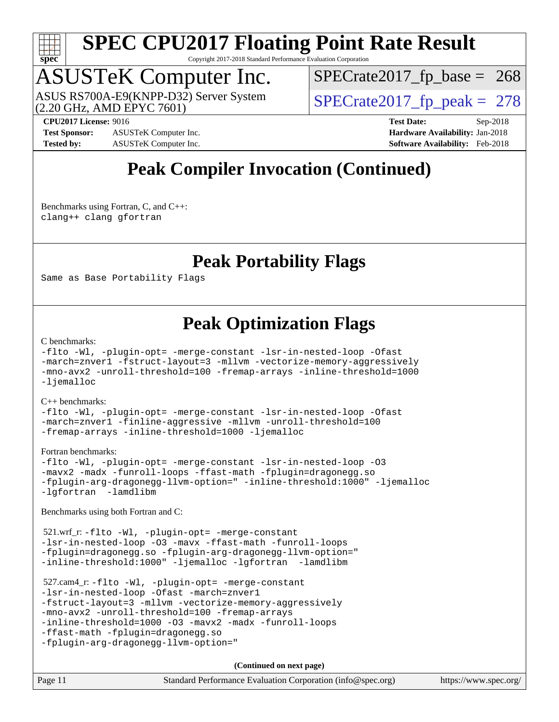

Copyright 2017-2018 Standard Performance Evaluation Corporation

# ASUSTeK Computer Inc.<br>ASUS RS700A-E9(KNPP-D32) Server System

(2.20 GHz, AMD EPYC 7601)

 $SPECTate 2017_fp\_peak = 278$  $SPECTate2017_fp\_base = 268$ 

**[Test Sponsor:](http://www.spec.org/auto/cpu2017/Docs/result-fields.html#TestSponsor)** ASUSTeK Computer Inc. **[Hardware Availability:](http://www.spec.org/auto/cpu2017/Docs/result-fields.html#HardwareAvailability)** Jan-2018 **[Tested by:](http://www.spec.org/auto/cpu2017/Docs/result-fields.html#Testedby)** ASUSTeK Computer Inc. **[Software Availability:](http://www.spec.org/auto/cpu2017/Docs/result-fields.html#SoftwareAvailability)** Feb-2018

**[CPU2017 License:](http://www.spec.org/auto/cpu2017/Docs/result-fields.html#CPU2017License)** 9016 **[Test Date:](http://www.spec.org/auto/cpu2017/Docs/result-fields.html#TestDate)** Sep-2018

## **[Peak Compiler Invocation \(Continued\)](http://www.spec.org/auto/cpu2017/Docs/result-fields.html#PeakCompilerInvocation)**

[Benchmarks using Fortran, C, and C++:](http://www.spec.org/auto/cpu2017/Docs/result-fields.html#BenchmarksusingFortranCandCXX) [clang++](http://www.spec.org/cpu2017/results/res2018q4/cpu2017-20180917-08862.flags.html#user_CC_CXX_FCpeak_Fclang3_57a48582e5be507d19b2527b3e7d4f85d9b8669ffc9a8a0dbb9bcf949a918a58bbab411e0c4d14a3922022a3e425a90db94042683824c1806feff4324ca1000d) [clang](http://www.spec.org/cpu2017/results/res2018q4/cpu2017-20180917-08862.flags.html#user_CC_CXX_FCpeak_Fclang3) [gfortran](http://www.spec.org/cpu2017/results/res2018q4/cpu2017-20180917-08862.flags.html#user_CC_CXX_FCpeak_Fgfortran_128c91a56d61ddb07404721e65b8f9498c31a443dacbd3b7f212891090eca86e2d099b520f75b99e9e8ac4fdec01f4d15f0b65e47123ec4c42b0759045731a1f)

## **[Peak Portability Flags](http://www.spec.org/auto/cpu2017/Docs/result-fields.html#PeakPortabilityFlags)**

Same as Base Portability Flags

## **[Peak Optimization Flags](http://www.spec.org/auto/cpu2017/Docs/result-fields.html#PeakOptimizationFlags)**

#### [C benchmarks](http://www.spec.org/auto/cpu2017/Docs/result-fields.html#Cbenchmarks):

```
-flto -Wl, -plugin-opt= -merge-constant -lsr-in-nested-loop -Ofast
-march=znver1 -fstruct-layout=3 -mllvm -vectorize-memory-aggressively
-mno-avx2 -unroll-threshold=100 -fremap-arrays -inline-threshold=1000
-ljemalloc
C++ benchmarks: 
-flto -Wl, -plugin-opt= -merge-constant -lsr-in-nested-loop -Ofast
-march=znver1 -finline-aggressive -mllvm -unroll-threshold=100
```
[-fremap-arrays](http://www.spec.org/cpu2017/results/res2018q4/cpu2017-20180917-08862.flags.html#user_CXXpeak_F-fremap-arrays) [-inline-threshold=1000](http://www.spec.org/cpu2017/results/res2018q4/cpu2017-20180917-08862.flags.html#user_CXXpeak_F-inline-threshold_1daf3e0321a7a0c1ea19068c818f3f119b1e5dfc986cc791557791f4b93536c1546ba0c8585f62303269f504aa232e0ca278e8489928152e32e0752215741730) [-ljemalloc](http://www.spec.org/cpu2017/results/res2018q4/cpu2017-20180917-08862.flags.html#user_CXXpeak_F-ljemalloc)

#### [Fortran benchmarks](http://www.spec.org/auto/cpu2017/Docs/result-fields.html#Fortranbenchmarks):

```
-flto -Wl, -plugin-opt= -merge-constant -lsr-in-nested-loop -O3
-mavx2 -madx -funroll-loops -ffast-math -fplugin=dragonegg.so
-fplugin-arg-dragonegg-llvm-option=" -inline-threshold:1000" -ljemalloc
-lgfortran -lamdlibm
```
[Benchmarks using both Fortran and C](http://www.spec.org/auto/cpu2017/Docs/result-fields.html#BenchmarksusingbothFortranandC):

```
 521.wrf_r: -flto -Wl, -plugin-opt= -merge-constant
-lsr-in-nested-loop -O3 -mavx -ffast-math -funroll-loops
-fplugin=dragonegg.so -fplugin-arg-dragonegg-llvm-option="
-inline-threshold:1000" -ljemalloc -lgfortran -lamdlibm
```

```
 527.cam4_r: -flto -Wl, -plugin-opt= -merge-constant
-lsr-in-nested-loop -Ofast -march=znver1
-fstruct-layout=3 -mllvm -vectorize-memory-aggressively
-mno-avx2 -unroll-threshold=100 -fremap-arrays
-inline-threshold=1000 -O3 -mavx2 -madx -funroll-loops
-ffast-math -fplugin=dragonegg.so
-fplugin-arg-dragonegg-llvm-option="
```

| Page 11 | Standard Performance Evaluation Corporation (info@spec.org) | https://www.spec.org/ |
|---------|-------------------------------------------------------------|-----------------------|
|---------|-------------------------------------------------------------|-----------------------|